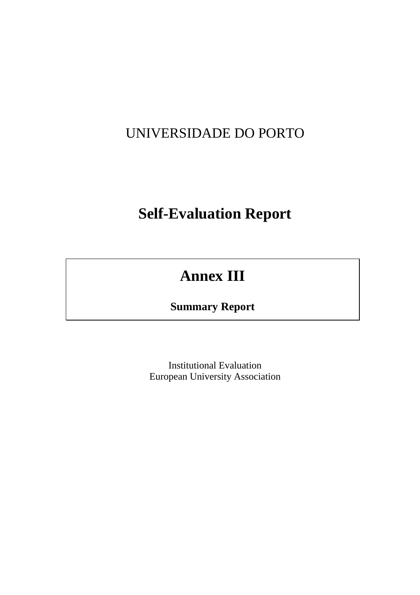# UNIVERSIDADE DO PORTO

# **Self-Evaluation Report**

# **Annex III**

# **Summary Report**

Institutional Evaluation European University Association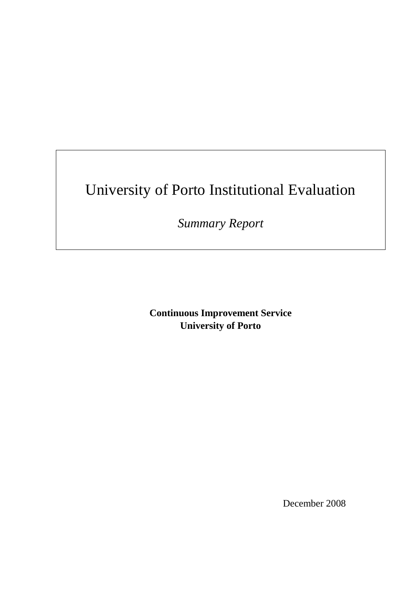# University of Porto Institutional Evaluation

*Summary Report* 

**Continuous Improvement Service University of Porto** 

December 2008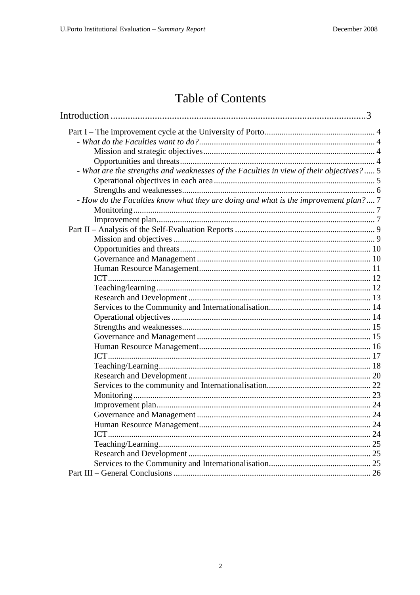# Table of Contents

| - What are the strengths and weaknesses of the Faculties in view of their objectives?  5 |  |
|------------------------------------------------------------------------------------------|--|
|                                                                                          |  |
|                                                                                          |  |
| - How do the Faculties know what they are doing and what is the improvement plan? 7      |  |
|                                                                                          |  |
|                                                                                          |  |
|                                                                                          |  |
|                                                                                          |  |
|                                                                                          |  |
|                                                                                          |  |
|                                                                                          |  |
|                                                                                          |  |
|                                                                                          |  |
|                                                                                          |  |
|                                                                                          |  |
|                                                                                          |  |
|                                                                                          |  |
|                                                                                          |  |
|                                                                                          |  |
|                                                                                          |  |
|                                                                                          |  |
|                                                                                          |  |
|                                                                                          |  |
|                                                                                          |  |
|                                                                                          |  |
|                                                                                          |  |
|                                                                                          |  |
|                                                                                          |  |
|                                                                                          |  |
|                                                                                          |  |
|                                                                                          |  |
|                                                                                          |  |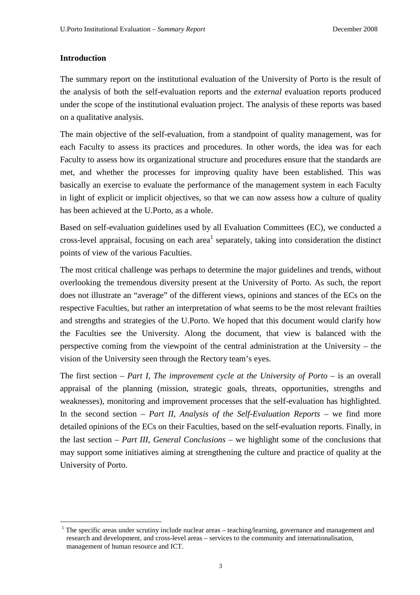#### **Introduction**

 $\overline{a}$ 

The summary report on the institutional evaluation of the University of Porto is the result of the analysis of both the self-evaluation reports and the *external* evaluation reports produced under the scope of the institutional evaluation project. The analysis of these reports was based on a qualitative analysis.

The main objective of the self-evaluation, from a standpoint of quality management, was for each Faculty to assess its practices and procedures. In other words, the idea was for each Faculty to assess how its organizational structure and procedures ensure that the standards are met, and whether the processes for improving quality have been established. This was basically an exercise to evaluate the performance of the management system in each Faculty in light of explicit or implicit objectives, so that we can now assess how a culture of quality has been achieved at the U.Porto, as a whole.

Based on self-evaluation guidelines used by all Evaluation Committees (EC), we conducted a cross-level appraisal, focusing on each area<sup>1</sup> separately, taking into consideration the distinct points of view of the various Faculties.

The most critical challenge was perhaps to determine the major guidelines and trends, without overlooking the tremendous diversity present at the University of Porto. As such, the report does not illustrate an "average" of the different views, opinions and stances of the ECs on the respective Faculties, but rather an interpretation of what seems to be the most relevant frailties and strengths and strategies of the U.Porto. We hoped that this document would clarify how the Faculties see the University. Along the document, that view is balanced with the perspective coming from the viewpoint of the central administration at the University – the vision of the University seen through the Rectory team's eyes.

The first section – *Part I, The improvement cycle at the University of Porto* – is an overall appraisal of the planning (mission, strategic goals, threats, opportunities, strengths and weaknesses), monitoring and improvement processes that the self-evaluation has highlighted. In the second section – *Part II, Analysis of the Self-Evaluation Reports* – we find more detailed opinions of the ECs on their Faculties, based on the self-evaluation reports. Finally, in the last section – *Part III, General Conclusions* – we highlight some of the conclusions that may support some initiatives aiming at strengthening the culture and practice of quality at the University of Porto.

<sup>1</sup> The specific areas under scrutiny include nuclear areas – teaching/learning, governance and management and research and development, and cross-level areas – services to the community and internationalisation, management of human resource and ICT.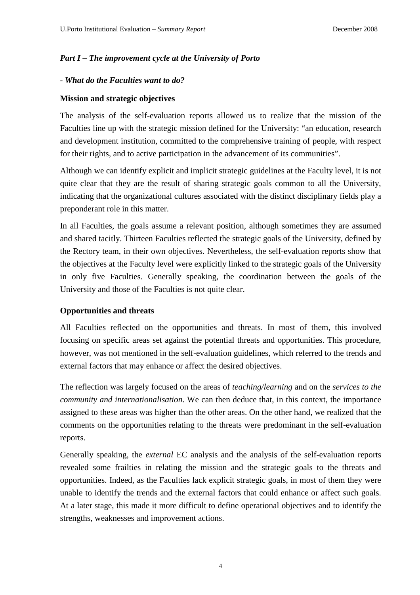# *Part I – The improvement cycle at the University of Porto*

#### *- What do the Faculties want to do?*

#### **Mission and strategic objectives**

The analysis of the self-evaluation reports allowed us to realize that the mission of the Faculties line up with the strategic mission defined for the University: "an education, research and development institution, committed to the comprehensive training of people, with respect for their rights, and to active participation in the advancement of its communities".

Although we can identify explicit and implicit strategic guidelines at the Faculty level, it is not quite clear that they are the result of sharing strategic goals common to all the University, indicating that the organizational cultures associated with the distinct disciplinary fields play a preponderant role in this matter.

In all Faculties, the goals assume a relevant position, although sometimes they are assumed and shared tacitly. Thirteen Faculties reflected the strategic goals of the University, defined by the Rectory team, in their own objectives. Nevertheless, the self-evaluation reports show that the objectives at the Faculty level were explicitly linked to the strategic goals of the University in only five Faculties. Generally speaking, the coordination between the goals of the University and those of the Faculties is not quite clear.

# **Opportunities and threats**

All Faculties reflected on the opportunities and threats. In most of them, this involved focusing on specific areas set against the potential threats and opportunities. This procedure, however, was not mentioned in the self-evaluation guidelines, which referred to the trends and external factors that may enhance or affect the desired objectives.

The reflection was largely focused on the areas of *teaching/learning* and on the *services to the community and internationalisation*. We can then deduce that, in this context, the importance assigned to these areas was higher than the other areas. On the other hand, we realized that the comments on the opportunities relating to the threats were predominant in the self-evaluation reports.

Generally speaking, the *external* EC analysis and the analysis of the self-evaluation reports revealed some frailties in relating the mission and the strategic goals to the threats and opportunities. Indeed, as the Faculties lack explicit strategic goals, in most of them they were unable to identify the trends and the external factors that could enhance or affect such goals. At a later stage, this made it more difficult to define operational objectives and to identify the strengths, weaknesses and improvement actions.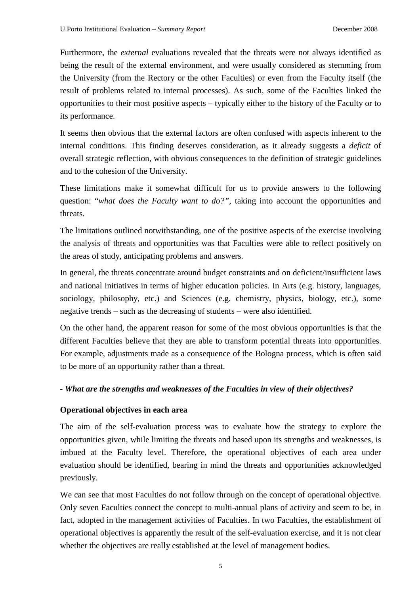Furthermore, the *external* evaluations revealed that the threats were not always identified as being the result of the external environment, and were usually considered as stemming from the University (from the Rectory or the other Faculties) or even from the Faculty itself (the result of problems related to internal processes). As such, some of the Faculties linked the opportunities to their most positive aspects – typically either to the history of the Faculty or to its performance.

It seems then obvious that the external factors are often confused with aspects inherent to the internal conditions. This finding deserves consideration, as it already suggests a *deficit* of overall strategic reflection, with obvious consequences to the definition of strategic guidelines and to the cohesion of the University.

These limitations make it somewhat difficult for us to provide answers to the following question: "*what does the Faculty want to do?"*, taking into account the opportunities and threats.

The limitations outlined notwithstanding, one of the positive aspects of the exercise involving the analysis of threats and opportunities was that Faculties were able to reflect positively on the areas of study, anticipating problems and answers.

In general, the threats concentrate around budget constraints and on deficient/insufficient laws and national initiatives in terms of higher education policies. In Arts (e.g. history, languages, sociology, philosophy, etc.) and Sciences (e.g. chemistry, physics, biology, etc.), some negative trends – such as the decreasing of students – were also identified.

On the other hand, the apparent reason for some of the most obvious opportunities is that the different Faculties believe that they are able to transform potential threats into opportunities. For example, adjustments made as a consequence of the Bologna process, which is often said to be more of an opportunity rather than a threat.

#### *- What are the strengths and weaknesses of the Faculties in view of their objectives?*

#### **Operational objectives in each area**

The aim of the self-evaluation process was to evaluate how the strategy to explore the opportunities given, while limiting the threats and based upon its strengths and weaknesses, is imbued at the Faculty level. Therefore, the operational objectives of each area under evaluation should be identified, bearing in mind the threats and opportunities acknowledged previously.

We can see that most Faculties do not follow through on the concept of operational objective. Only seven Faculties connect the concept to multi-annual plans of activity and seem to be, in fact, adopted in the management activities of Faculties. In two Faculties, the establishment of operational objectives is apparently the result of the self-evaluation exercise, and it is not clear whether the objectives are really established at the level of management bodies.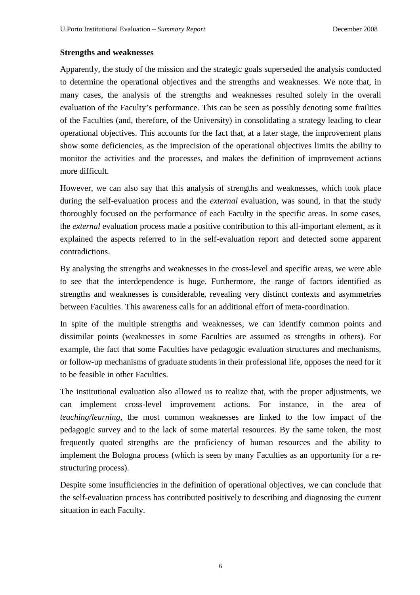#### **Strengths and weaknesses**

Apparently, the study of the mission and the strategic goals superseded the analysis conducted to determine the operational objectives and the strengths and weaknesses. We note that, in many cases, the analysis of the strengths and weaknesses resulted solely in the overall evaluation of the Faculty's performance. This can be seen as possibly denoting some frailties of the Faculties (and, therefore, of the University) in consolidating a strategy leading to clear operational objectives. This accounts for the fact that, at a later stage, the improvement plans show some deficiencies, as the imprecision of the operational objectives limits the ability to monitor the activities and the processes, and makes the definition of improvement actions more difficult.

However, we can also say that this analysis of strengths and weaknesses, which took place during the self-evaluation process and the *external* evaluation, was sound, in that the study thoroughly focused on the performance of each Faculty in the specific areas. In some cases, the *external* evaluation process made a positive contribution to this all-important element, as it explained the aspects referred to in the self-evaluation report and detected some apparent contradictions.

By analysing the strengths and weaknesses in the cross-level and specific areas, we were able to see that the interdependence is huge. Furthermore, the range of factors identified as strengths and weaknesses is considerable, revealing very distinct contexts and asymmetries between Faculties. This awareness calls for an additional effort of meta-coordination.

In spite of the multiple strengths and weaknesses, we can identify common points and dissimilar points (weaknesses in some Faculties are assumed as strengths in others). For example, the fact that some Faculties have pedagogic evaluation structures and mechanisms, or follow-up mechanisms of graduate students in their professional life, opposes the need for it to be feasible in other Faculties.

The institutional evaluation also allowed us to realize that, with the proper adjustments, we can implement cross-level improvement actions. For instance, in the area of *teaching/learning*, the most common weaknesses are linked to the low impact of the pedagogic survey and to the lack of some material resources. By the same token, the most frequently quoted strengths are the proficiency of human resources and the ability to implement the Bologna process (which is seen by many Faculties as an opportunity for a restructuring process).

Despite some insufficiencies in the definition of operational objectives, we can conclude that the self-evaluation process has contributed positively to describing and diagnosing the current situation in each Faculty.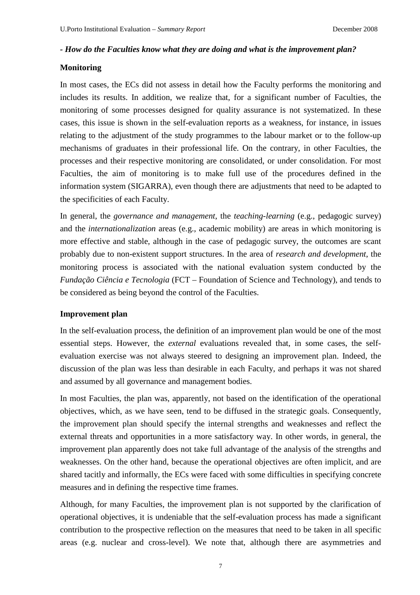#### *- How do the Faculties know what they are doing and what is the improvement plan?*

#### **Monitoring**

In most cases, the ECs did not assess in detail how the Faculty performs the monitoring and includes its results. In addition, we realize that, for a significant number of Faculties, the monitoring of some processes designed for quality assurance is not systematized. In these cases, this issue is shown in the self-evaluation reports as a weakness, for instance, in issues relating to the adjustment of the study programmes to the labour market or to the follow-up mechanisms of graduates in their professional life. On the contrary, in other Faculties, the processes and their respective monitoring are consolidated, or under consolidation. For most Faculties, the aim of monitoring is to make full use of the procedures defined in the information system (SIGARRA), even though there are adjustments that need to be adapted to the specificities of each Faculty.

In general, the *governance and management*, the *teaching-learning* (e.g., pedagogic survey) and the *internationalization* areas (e.g., academic mobility) are areas in which monitoring is more effective and stable, although in the case of pedagogic survey, the outcomes are scant probably due to non-existent support structures. In the area of *research and development*, the monitoring process is associated with the national evaluation system conducted by the *Fundação Ciência e Tecnologia* (FCT – Foundation of Science and Technology), and tends to be considered as being beyond the control of the Faculties.

#### **Improvement plan**

In the self-evaluation process, the definition of an improvement plan would be one of the most essential steps. However, the *external* evaluations revealed that, in some cases, the selfevaluation exercise was not always steered to designing an improvement plan. Indeed, the discussion of the plan was less than desirable in each Faculty, and perhaps it was not shared and assumed by all governance and management bodies.

In most Faculties, the plan was, apparently, not based on the identification of the operational objectives, which, as we have seen, tend to be diffused in the strategic goals. Consequently, the improvement plan should specify the internal strengths and weaknesses and reflect the external threats and opportunities in a more satisfactory way. In other words, in general, the improvement plan apparently does not take full advantage of the analysis of the strengths and weaknesses. On the other hand, because the operational objectives are often implicit, and are shared tacitly and informally, the ECs were faced with some difficulties in specifying concrete measures and in defining the respective time frames.

Although, for many Faculties, the improvement plan is not supported by the clarification of operational objectives, it is undeniable that the self-evaluation process has made a significant contribution to the prospective reflection on the measures that need to be taken in all specific areas (e.g. nuclear and cross-level). We note that, although there are asymmetries and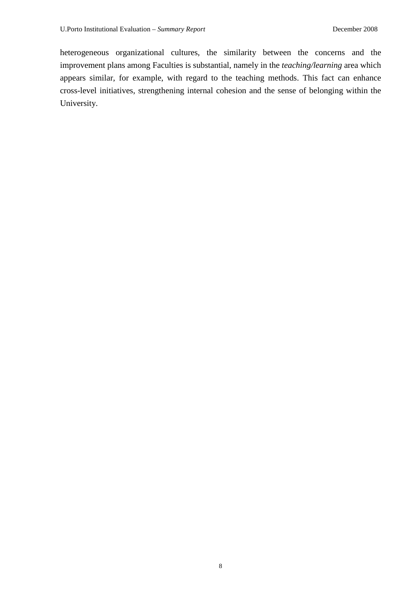heterogeneous organizational cultures, the similarity between the concerns and the improvement plans among Faculties is substantial, namely in the *teaching/learning* area which appears similar, for example, with regard to the teaching methods. This fact can enhance cross-level initiatives, strengthening internal cohesion and the sense of belonging within the University.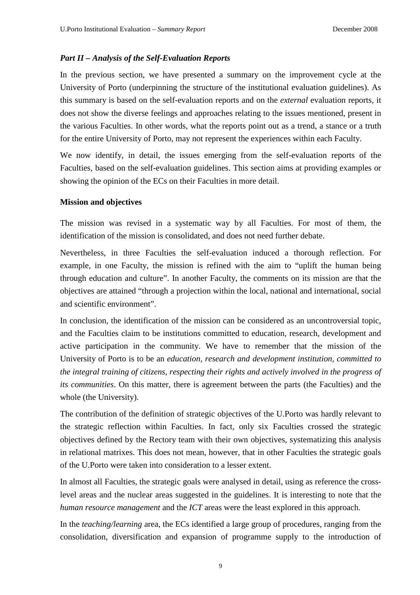### *Part II – Analysis of the Self-Evaluation Reports*

In the previous section, we have presented a summary on the improvement cycle at the University of Porto (underpinning the structure of the institutional evaluation guidelines). As this summary is based on the self-evaluation reports and on the *external* evaluation reports, it does not show the diverse feelings and approaches relating to the issues mentioned, present in the various Faculties. In other words, what the reports point out as a trend, a stance or a truth for the entire University of Porto, may not represent the experiences within each Faculty.

We now identify, in detail, the issues emerging from the self-evaluation reports of the Faculties, based on the self-evaluation guidelines. This section aims at providing examples or showing the opinion of the ECs on their Faculties in more detail.

#### **Mission and objectives**

The mission was revised in a systematic way by all Faculties. For most of them, the identification of the mission is consolidated, and does not need further debate.

Nevertheless, in three Faculties the self-evaluation induced a thorough reflection. For example, in one Faculty, the mission is refined with the aim to "uplift the human being through education and culture". In another Faculty, the comments on its mission are that the objectives are attained "through a projection within the local, national and international, social and scientific environment".

In conclusion, the identification of the mission can be considered as an uncontroversial topic, and the Faculties claim to be institutions committed to education, research, development and active participation in the community. We have to remember that the mission of the University of Porto is to be an *education, research and development institution, committed to the integral training of citizens, respecting their rights and actively involved in the progress of its communities*. On this matter, there is agreement between the parts (the Faculties) and the whole (the University).

The contribution of the definition of strategic objectives of the U.Porto was hardly relevant to the strategic reflection within Faculties. In fact, only six Faculties crossed the strategic objectives defined by the Rectory team with their own objectives, systematizing this analysis in relational matrixes. This does not mean, however, that in other Faculties the strategic goals of the U.Porto were taken into consideration to a lesser extent.

In almost all Faculties, the strategic goals were analysed in detail, using as reference the crosslevel areas and the nuclear areas suggested in the guidelines. It is interesting to note that the *human resource management* and the *ICT* areas were the least explored in this approach.

In the *teaching/learning* area, the ECs identified a large group of procedures, ranging from the consolidation, diversification and expansion of programme supply to the introduction of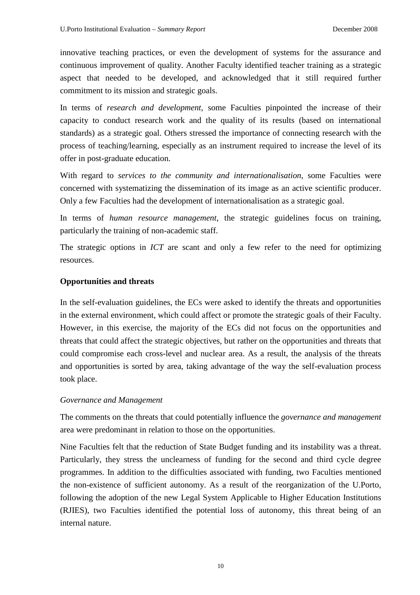innovative teaching practices, or even the development of systems for the assurance and continuous improvement of quality. Another Faculty identified teacher training as a strategic aspect that needed to be developed, and acknowledged that it still required further commitment to its mission and strategic goals.

In terms of *research and development*, some Faculties pinpointed the increase of their capacity to conduct research work and the quality of its results (based on international standards) as a strategic goal. Others stressed the importance of connecting research with the process of teaching/learning, especially as an instrument required to increase the level of its offer in post-graduate education.

With regard to *services to the community and internationalisation*, some Faculties were concerned with systematizing the dissemination of its image as an active scientific producer. Only a few Faculties had the development of internationalisation as a strategic goal.

In terms of *human resource management*, the strategic guidelines focus on training, particularly the training of non-academic staff.

The strategic options in *ICT* are scant and only a few refer to the need for optimizing resources.

# **Opportunities and threats**

In the self-evaluation guidelines, the ECs were asked to identify the threats and opportunities in the external environment, which could affect or promote the strategic goals of their Faculty. However, in this exercise, the majority of the ECs did not focus on the opportunities and threats that could affect the strategic objectives, but rather on the opportunities and threats that could compromise each cross-level and nuclear area. As a result, the analysis of the threats and opportunities is sorted by area, taking advantage of the way the self-evaluation process took place.

# *Governance and Management*

The comments on the threats that could potentially influence the *governance and management*  area were predominant in relation to those on the opportunities.

Nine Faculties felt that the reduction of State Budget funding and its instability was a threat. Particularly, they stress the unclearness of funding for the second and third cycle degree programmes. In addition to the difficulties associated with funding, two Faculties mentioned the non-existence of sufficient autonomy. As a result of the reorganization of the U.Porto, following the adoption of the new Legal System Applicable to Higher Education Institutions (RJIES), two Faculties identified the potential loss of autonomy, this threat being of an internal nature.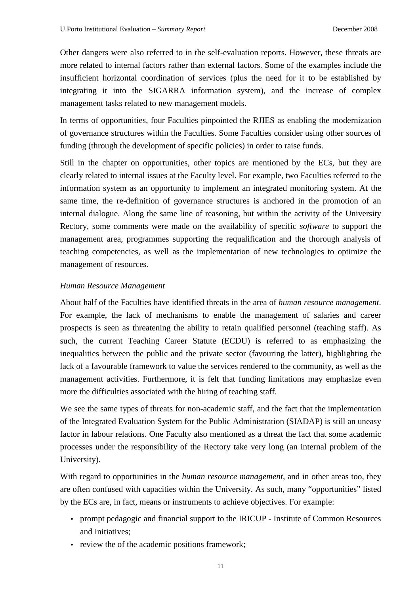Other dangers were also referred to in the self-evaluation reports. However, these threats are more related to internal factors rather than external factors. Some of the examples include the insufficient horizontal coordination of services (plus the need for it to be established by integrating it into the SIGARRA information system), and the increase of complex management tasks related to new management models.

In terms of opportunities, four Faculties pinpointed the RJIES as enabling the modernization of governance structures within the Faculties. Some Faculties consider using other sources of funding (through the development of specific policies) in order to raise funds.

Still in the chapter on opportunities, other topics are mentioned by the ECs, but they are clearly related to internal issues at the Faculty level. For example, two Faculties referred to the information system as an opportunity to implement an integrated monitoring system. At the same time, the re-definition of governance structures is anchored in the promotion of an internal dialogue. Along the same line of reasoning, but within the activity of the University Rectory, some comments were made on the availability of specific *software* to support the management area, programmes supporting the requalification and the thorough analysis of teaching competencies, as well as the implementation of new technologies to optimize the management of resources.

#### *Human Resource Management*

About half of the Faculties have identified threats in the area of *human resource management*. For example, the lack of mechanisms to enable the management of salaries and career prospects is seen as threatening the ability to retain qualified personnel (teaching staff). As such, the current Teaching Career Statute (ECDU) is referred to as emphasizing the inequalities between the public and the private sector (favouring the latter), highlighting the lack of a favourable framework to value the services rendered to the community, as well as the management activities. Furthermore, it is felt that funding limitations may emphasize even more the difficulties associated with the hiring of teaching staff.

We see the same types of threats for non-academic staff, and the fact that the implementation of the Integrated Evaluation System for the Public Administration (SIADAP) is still an uneasy factor in labour relations. One Faculty also mentioned as a threat the fact that some academic processes under the responsibility of the Rectory take very long (an internal problem of the University).

With regard to opportunities in the *human resource management*, and in other areas too, they are often confused with capacities within the University. As such, many "opportunities" listed by the ECs are, in fact, means or instruments to achieve objectives. For example:

- prompt pedagogic and financial support to the IRICUP Institute of Common Resources and Initiatives;
- review the of the academic positions framework;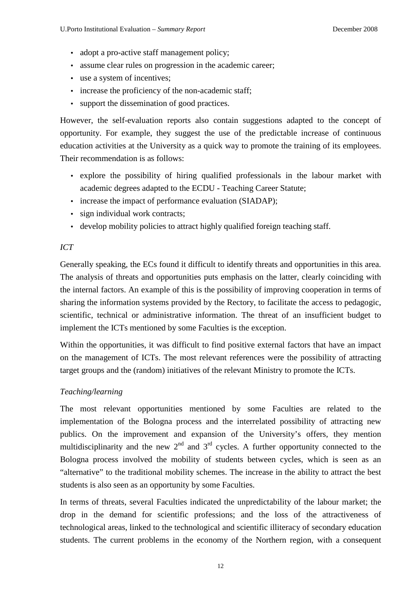- adopt a pro-active staff management policy;
- assume clear rules on progression in the academic career;
- use a system of incentives;
- increase the proficiency of the non-academic staff;
- support the dissemination of good practices.

However, the self-evaluation reports also contain suggestions adapted to the concept of opportunity. For example, they suggest the use of the predictable increase of continuous education activities at the University as a quick way to promote the training of its employees. Their recommendation is as follows:

- explore the possibility of hiring qualified professionals in the labour market with academic degrees adapted to the ECDU - Teaching Career Statute;
- increase the impact of performance evaluation (SIADAP);
- sign individual work contracts:
- develop mobility policies to attract highly qualified foreign teaching staff.

#### *ICT*

Generally speaking, the ECs found it difficult to identify threats and opportunities in this area. The analysis of threats and opportunities puts emphasis on the latter, clearly coinciding with the internal factors. An example of this is the possibility of improving cooperation in terms of sharing the information systems provided by the Rectory, to facilitate the access to pedagogic, scientific, technical or administrative information. The threat of an insufficient budget to implement the ICTs mentioned by some Faculties is the exception.

Within the opportunities, it was difficult to find positive external factors that have an impact on the management of ICTs. The most relevant references were the possibility of attracting target groups and the (random) initiatives of the relevant Ministry to promote the ICTs.

# *Teaching/learning*

The most relevant opportunities mentioned by some Faculties are related to the implementation of the Bologna process and the interrelated possibility of attracting new publics. On the improvement and expansion of the University's offers, they mention multidisciplinarity and the new  $2<sup>nd</sup>$  and  $3<sup>rd</sup>$  cycles. A further opportunity connected to the Bologna process involved the mobility of students between cycles, which is seen as an "alternative" to the traditional mobility schemes. The increase in the ability to attract the best students is also seen as an opportunity by some Faculties.

In terms of threats, several Faculties indicated the unpredictability of the labour market; the drop in the demand for scientific professions; and the loss of the attractiveness of technological areas, linked to the technological and scientific illiteracy of secondary education students. The current problems in the economy of the Northern region, with a consequent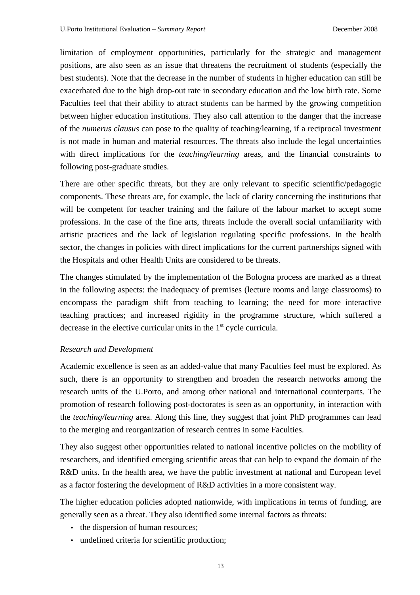limitation of employment opportunities, particularly for the strategic and management positions, are also seen as an issue that threatens the recruitment of students (especially the best students). Note that the decrease in the number of students in higher education can still be exacerbated due to the high drop-out rate in secondary education and the low birth rate. Some Faculties feel that their ability to attract students can be harmed by the growing competition between higher education institutions. They also call attention to the danger that the increase of the *numerus clausus* can pose to the quality of teaching/learning, if a reciprocal investment is not made in human and material resources. The threats also include the legal uncertainties with direct implications for the *teaching/learning* areas, and the financial constraints to following post-graduate studies.

There are other specific threats, but they are only relevant to specific scientific/pedagogic components. These threats are, for example, the lack of clarity concerning the institutions that will be competent for teacher training and the failure of the labour market to accept some professions. In the case of the fine arts, threats include the overall social unfamiliarity with artistic practices and the lack of legislation regulating specific professions. In the health sector, the changes in policies with direct implications for the current partnerships signed with the Hospitals and other Health Units are considered to be threats.

The changes stimulated by the implementation of the Bologna process are marked as a threat in the following aspects: the inadequacy of premises (lecture rooms and large classrooms) to encompass the paradigm shift from teaching to learning; the need for more interactive teaching practices; and increased rigidity in the programme structure, which suffered a decrease in the elective curricular units in the  $1<sup>st</sup>$  cycle curricula.

#### *Research and Development*

Academic excellence is seen as an added-value that many Faculties feel must be explored. As such, there is an opportunity to strengthen and broaden the research networks among the research units of the U.Porto, and among other national and international counterparts. The promotion of research following post-doctorates is seen as an opportunity, in interaction with the *teaching/learning* area. Along this line, they suggest that joint PhD programmes can lead to the merging and reorganization of research centres in some Faculties.

They also suggest other opportunities related to national incentive policies on the mobility of researchers, and identified emerging scientific areas that can help to expand the domain of the R&D units. In the health area, we have the public investment at national and European level as a factor fostering the development of R&D activities in a more consistent way.

The higher education policies adopted nationwide, with implications in terms of funding, are generally seen as a threat. They also identified some internal factors as threats:

- the dispersion of human resources;
- undefined criteria for scientific production;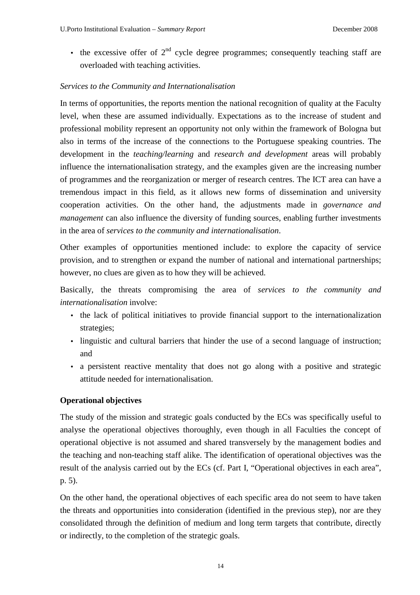• the excessive offer of  $2<sup>nd</sup>$  cycle degree programmes; consequently teaching staff are overloaded with teaching activities.

# *Services to the Community and Internationalisation*

In terms of opportunities, the reports mention the national recognition of quality at the Faculty level, when these are assumed individually. Expectations as to the increase of student and professional mobility represent an opportunity not only within the framework of Bologna but also in terms of the increase of the connections to the Portuguese speaking countries. The development in the *teaching/learning* and *research and development* areas will probably influence the internationalisation strategy, and the examples given are the increasing number of programmes and the reorganization or merger of research centres. The ICT area can have a tremendous impact in this field, as it allows new forms of dissemination and university cooperation activities. On the other hand, the adjustments made in *governance and management* can also influence the diversity of funding sources, enabling further investments in the area of *services to the community and internationalisation*.

Other examples of opportunities mentioned include: to explore the capacity of service provision, and to strengthen or expand the number of national and international partnerships; however, no clues are given as to how they will be achieved.

Basically, the threats compromising the area of *services to the community and internationalisation* involve:

- the lack of political initiatives to provide financial support to the internationalization strategies;
- linguistic and cultural barriers that hinder the use of a second language of instruction; and
- a persistent reactive mentality that does not go along with a positive and strategic attitude needed for internationalisation.

# **Operational objectives**

The study of the mission and strategic goals conducted by the ECs was specifically useful to analyse the operational objectives thoroughly, even though in all Faculties the concept of operational objective is not assumed and shared transversely by the management bodies and the teaching and non-teaching staff alike. The identification of operational objectives was the result of the analysis carried out by the ECs (cf. Part I, "Operational objectives in each area", p. 5).

On the other hand, the operational objectives of each specific area do not seem to have taken the threats and opportunities into consideration (identified in the previous step), nor are they consolidated through the definition of medium and long term targets that contribute, directly or indirectly, to the completion of the strategic goals.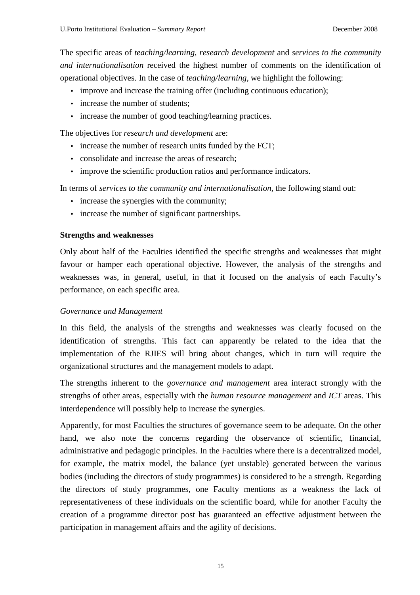The specific areas of *teaching/learning*, *research development* and *services to the community and internationalisation* received the highest number of comments on the identification of operational objectives. In the case of *teaching/learning*, we highlight the following:

- improve and increase the training offer (including continuous education);
- increase the number of students;
- increase the number of good teaching/learning practices.

The objectives for *research and development* are:

- increase the number of research units funded by the FCT;
- consolidate and increase the areas of research;
- improve the scientific production ratios and performance indicators.

In terms of *services to the community and internationalisation,* the following stand out:

- increase the synergies with the community;
- increase the number of significant partnerships.

#### **Strengths and weaknesses**

Only about half of the Faculties identified the specific strengths and weaknesses that might favour or hamper each operational objective. However, the analysis of the strengths and weaknesses was, in general, useful, in that it focused on the analysis of each Faculty's performance, on each specific area.

# *Governance and Management*

In this field, the analysis of the strengths and weaknesses was clearly focused on the identification of strengths. This fact can apparently be related to the idea that the implementation of the RJIES will bring about changes, which in turn will require the organizational structures and the management models to adapt.

The strengths inherent to the *governance and management* area interact strongly with the strengths of other areas, especially with the *human resource management* and *ICT* areas. This interdependence will possibly help to increase the synergies.

Apparently, for most Faculties the structures of governance seem to be adequate. On the other hand, we also note the concerns regarding the observance of scientific, financial, administrative and pedagogic principles. In the Faculties where there is a decentralized model, for example, the matrix model, the balance (yet unstable) generated between the various bodies (including the directors of study programmes) is considered to be a strength. Regarding the directors of study programmes, one Faculty mentions as a weakness the lack of representativeness of these individuals on the scientific board, while for another Faculty the creation of a programme director post has guaranteed an effective adjustment between the participation in management affairs and the agility of decisions.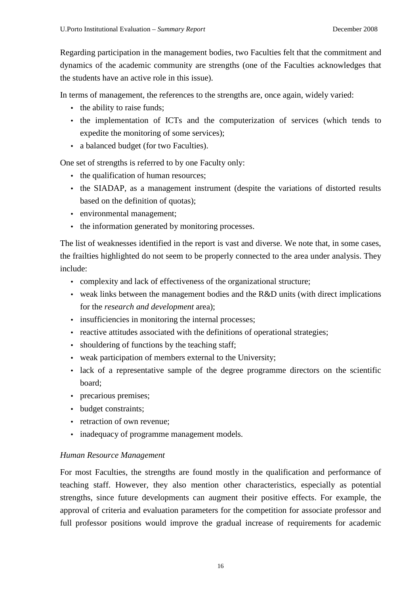Regarding participation in the management bodies, two Faculties felt that the commitment and dynamics of the academic community are strengths (one of the Faculties acknowledges that the students have an active role in this issue).

In terms of management, the references to the strengths are, once again, widely varied:

- the ability to raise funds;
- the implementation of ICTs and the computerization of services (which tends to expedite the monitoring of some services);
- a balanced budget (for two Faculties).

One set of strengths is referred to by one Faculty only:

- the qualification of human resources;
- the SIADAP, as a management instrument (despite the variations of distorted results based on the definition of quotas);
- environmental management;
- the information generated by monitoring processes.

The list of weaknesses identified in the report is vast and diverse. We note that, in some cases, the frailties highlighted do not seem to be properly connected to the area under analysis. They include:

- complexity and lack of effectiveness of the organizational structure;
- weak links between the management bodies and the R&D units (with direct implications for the *research and development* area);
- insufficiencies in monitoring the internal processes;
- reactive attitudes associated with the definitions of operational strategies;
- shouldering of functions by the teaching staff:
- weak participation of members external to the University;
- lack of a representative sample of the degree programme directors on the scientific board;
- precarious premises;
- budget constraints:
- retraction of own revenue;
- inadequacy of programme management models.

# *Human Resource Management*

For most Faculties, the strengths are found mostly in the qualification and performance of teaching staff. However, they also mention other characteristics, especially as potential strengths, since future developments can augment their positive effects. For example, the approval of criteria and evaluation parameters for the competition for associate professor and full professor positions would improve the gradual increase of requirements for academic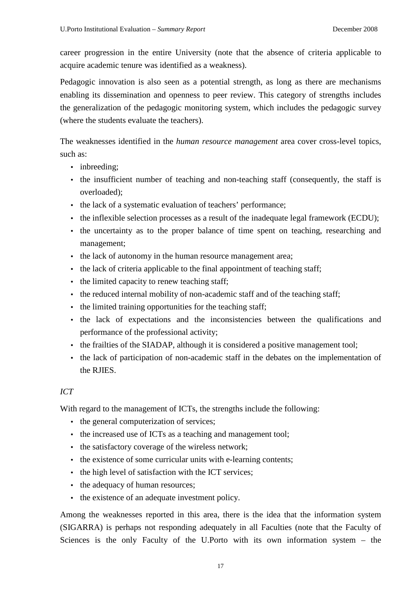career progression in the entire University (note that the absence of criteria applicable to acquire academic tenure was identified as a weakness).

Pedagogic innovation is also seen as a potential strength, as long as there are mechanisms enabling its dissemination and openness to peer review. This category of strengths includes the generalization of the pedagogic monitoring system, which includes the pedagogic survey (where the students evaluate the teachers).

The weaknesses identified in the *human resource management* area cover cross-level topics, such as:

- inbreeding:
- the insufficient number of teaching and non-teaching staff (consequently, the staff is overloaded);
- the lack of a systematic evaluation of teachers' performance;
- the inflexible selection processes as a result of the inadequate legal framework (ECDU);
- the uncertainty as to the proper balance of time spent on teaching, researching and management;
- the lack of autonomy in the human resource management area;
- the lack of criteria applicable to the final appointment of teaching staff;
- the limited capacity to renew teaching staff;
- the reduced internal mobility of non-academic staff and of the teaching staff;
- the limited training opportunities for the teaching staff:
- the lack of expectations and the inconsistencies between the qualifications and performance of the professional activity;
- the frailties of the SIADAP, although it is considered a positive management tool;
- the lack of participation of non-academic staff in the debates on the implementation of the RJIES.

# *ICT*

With regard to the management of ICTs, the strengths include the following:

- the general computerization of services;
- the increased use of ICTs as a teaching and management tool;
- the satisfactory coverage of the wireless network;
- the existence of some curricular units with e*-*learning contents;
- the high level of satisfaction with the ICT services;
- the adequacy of human resources;
- the existence of an adequate investment policy.

Among the weaknesses reported in this area, there is the idea that the information system (SIGARRA) is perhaps not responding adequately in all Faculties (note that the Faculty of Sciences is the only Faculty of the U.Porto with its own information system – the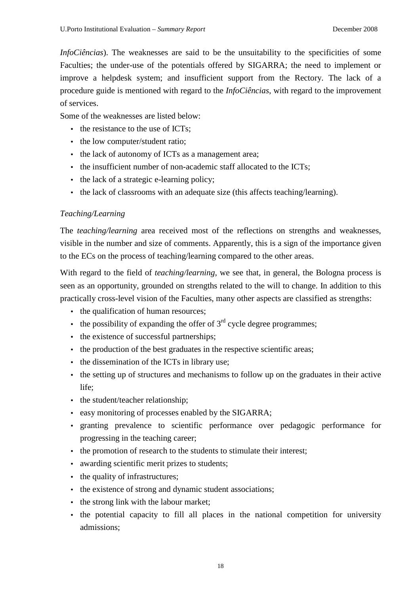*InfoCiências*). The weaknesses are said to be the unsuitability to the specificities of some Faculties; the under-use of the potentials offered by SIGARRA; the need to implement or improve a helpdesk system; and insufficient support from the Rectory. The lack of a procedure guide is mentioned with regard to the *InfoCiências*, with regard to the improvement of services.

Some of the weaknesses are listed below:

- the resistance to the use of ICTs:
- the low computer/student ratio;
- the lack of autonomy of ICTs as a management area;
- the insufficient number of non-academic staff allocated to the ICTs:
- the lack of a strategic e-learning policy;
- the lack of classrooms with an adequate size (this affects teaching/learning).

#### *Teaching/Learning*

The *teaching/learning* area received most of the reflections on strengths and weaknesses, visible in the number and size of comments. Apparently, this is a sign of the importance given to the ECs on the process of teaching/learning compared to the other areas.

With regard to the field of *teaching/learning*, we see that, in general, the Bologna process is seen as an opportunity, grounded on strengths related to the will to change. In addition to this practically cross-level vision of the Faculties, many other aspects are classified as strengths:

- the qualification of human resources;
- the possibility of expanding the offer of  $3<sup>rd</sup>$  cycle degree programmes;
- the existence of successful partnerships:
- the production of the best graduates in the respective scientific areas;
- the dissemination of the ICTs in library use;
- the setting up of structures and mechanisms to follow up on the graduates in their active life;
- the student/teacher relationship;
- easy monitoring of processes enabled by the SIGARRA;
- granting prevalence to scientific performance over pedagogic performance for progressing in the teaching career;
- the promotion of research to the students to stimulate their interest;
- awarding scientific merit prizes to students;
- the quality of infrastructures;
- the existence of strong and dynamic student associations;
- the strong link with the labour market;
- the potential capacity to fill all places in the national competition for university admissions;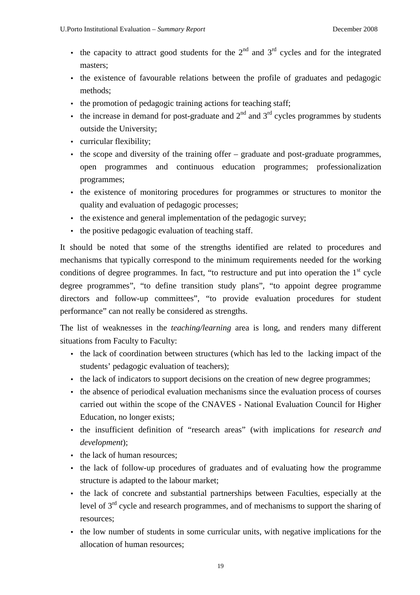- the capacity to attract good students for the  $2<sup>nd</sup>$  and  $3<sup>rd</sup>$  cycles and for the integrated masters;
- the existence of favourable relations between the profile of graduates and pedagogic methods;
- the promotion of pedagogic training actions for teaching staff;
- the increase in demand for post-graduate and  $2<sup>nd</sup>$  and  $3<sup>rd</sup>$  cycles programmes by students outside the University;
- curricular flexibility;
- the scope and diversity of the training offer graduate and post-graduate programmes, open programmes and continuous education programmes; professionalization programmes;
- the existence of monitoring procedures for programmes or structures to monitor the quality and evaluation of pedagogic processes;
- the existence and general implementation of the pedagogic survey;
- the positive pedagogic evaluation of teaching staff.

It should be noted that some of the strengths identified are related to procedures and mechanisms that typically correspond to the minimum requirements needed for the working conditions of degree programmes. In fact, "to restructure and put into operation the  $1<sup>st</sup>$  cycle degree programmes", "to define transition study plans", "to appoint degree programme directors and follow-up committees", "to provide evaluation procedures for student performance" can not really be considered as strengths.

The list of weaknesses in the *teaching/learning* area is long, and renders many different situations from Faculty to Faculty:

- the lack of coordination between structures (which has led to the lacking impact of the students' pedagogic evaluation of teachers);
- the lack of indicators to support decisions on the creation of new degree programmes;
- the absence of periodical evaluation mechanisms since the evaluation process of courses carried out within the scope of the CNAVES - National Evaluation Council for Higher Education, no longer exists;
- the insufficient definition of "research areas" (with implications for *research and development*);
- the lack of human resources:
- the lack of follow-up procedures of graduates and of evaluating how the programme structure is adapted to the labour market;
- the lack of concrete and substantial partnerships between Faculties, especially at the level of  $3<sup>rd</sup>$  cycle and research programmes, and of mechanisms to support the sharing of resources;
- the low number of students in some curricular units, with negative implications for the allocation of human resources;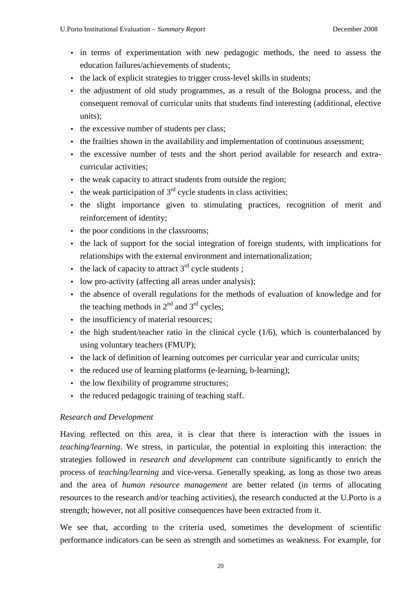- in terms of experimentation with new pedagogic methods, the need to assess the education failures/achievements of students;
- the lack of explicit strategies to trigger cross-level skills in students;
- the adjustment of old study programmes, as a result of the Bologna process, and the consequent removal of curricular units that students find interesting (additional, elective units);
- the excessive number of students per class;
- the frailties shown in the availability and implementation of continuous assessment;
- the excessive number of tests and the short period available for research and extracurricular activities;
- the weak capacity to attract students from outside the region;
- the weak participation of  $3<sup>rd</sup>$  cycle students in class activities;
- the slight importance given to stimulating practices, recognition of merit and reinforcement of identity;
- the poor conditions in the classrooms:
- the lack of support for the social integration of foreign students, with implications for relationships with the external environment and internationalization;
- the lack of capacity to attract  $3<sup>rd</sup>$  cycle students :
- low pro-activity (affecting all areas under analysis);
- the absence of overall regulations for the methods of evaluation of knowledge and for the teaching methods in  $2<sup>nd</sup>$  and  $3<sup>rd</sup>$  cycles:
- the insufficiency of material resources;
- the high student/teacher ratio in the clinical cycle  $(1/6)$ , which is counterbalanced by using voluntary teachers (FMUP);
- the lack of definition of learning outcomes per curricular year and curricular units;
- the reduced use of learning platforms (e-learning, b-learning);
- the low flexibility of programme structures:
- the reduced pedagogic training of teaching staff.

# *Research and Development*

Having reflected on this area, it is clear that there is interaction with the issues in *teaching/learning*. We stress, in particular, the potential in exploiting this interaction: the strategies followed in *research and development* can contribute significantly to enrich the process of *teaching/learning* and vice-versa. Generally speaking, as long as those two areas and the area of *human resource management* are better related (in terms of allocating resources to the research and/or teaching activities), the research conducted at the U.Porto is a strength; however, not all positive consequences have been extracted from it.

We see that, according to the criteria used, sometimes the development of scientific performance indicators can be seen as strength and sometimes as weakness. For example, for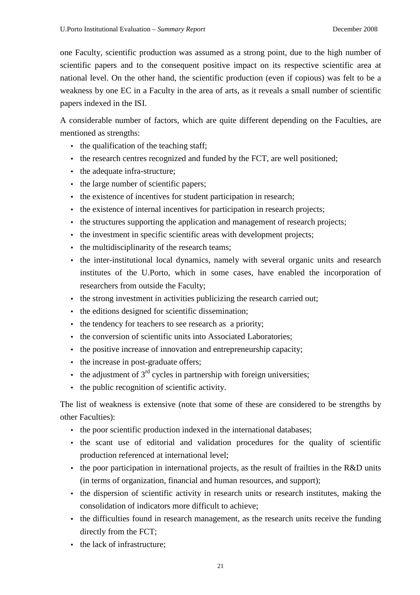one Faculty, scientific production was assumed as a strong point, due to the high number of scientific papers and to the consequent positive impact on its respective scientific area at national level. On the other hand, the scientific production (even if copious) was felt to be a weakness by one EC in a Faculty in the area of arts, as it reveals a small number of scientific papers indexed in the ISI.

A considerable number of factors, which are quite different depending on the Faculties, are mentioned as strengths:

- the qualification of the teaching staff;
- the research centres recognized and funded by the FCT, are well positioned;
- the adequate infra-structure;
- the large number of scientific papers:
- the existence of incentives for student participation in research;
- the existence of internal incentives for participation in research projects;
- the structures supporting the application and management of research projects;
- the investment in specific scientific areas with development projects;
- the multidisciplinarity of the research teams;
- the inter-institutional local dynamics, namely with several organic units and research institutes of the U.Porto, which in some cases, have enabled the incorporation of researchers from outside the Faculty;
- the strong investment in activities publicizing the research carried out:
- the editions designed for scientific dissemination;
- the tendency for teachers to see research as a priority:
- the conversion of scientific units into Associated Laboratories:
- the positive increase of innovation and entrepreneurship capacity;
- the increase in post-graduate offers:
- the adjustment of  $3<sup>rd</sup>$  cycles in partnership with foreign universities;
- the public recognition of scientific activity.

The list of weakness is extensive (note that some of these are considered to be strengths by other Faculties):

- the poor scientific production indexed in the international databases:
- the scant use of editorial and validation procedures for the quality of scientific production referenced at international level;
- the poor participation in international projects, as the result of frailties in the R&D units (in terms of organization, financial and human resources, and support);
- the dispersion of scientific activity in research units or research institutes, making the consolidation of indicators more difficult to achieve;
- the difficulties found in research management, as the research units receive the funding directly from the FCT;
- the lack of infrastructure: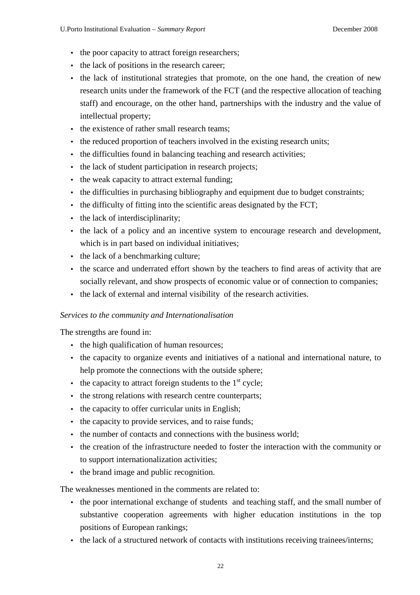- the poor capacity to attract foreign researchers;
- the lack of positions in the research career;
- the lack of institutional strategies that promote, on the one hand, the creation of new research units under the framework of the FCT (and the respective allocation of teaching staff) and encourage, on the other hand, partnerships with the industry and the value of intellectual property;
- the existence of rather small research teams:
- the reduced proportion of teachers involved in the existing research units;
- the difficulties found in balancing teaching and research activities;
- the lack of student participation in research projects;
- the weak capacity to attract external funding;
- the difficulties in purchasing bibliography and equipment due to budget constraints;
- the difficulty of fitting into the scientific areas designated by the FCT:
- the lack of interdisciplinarity;
- the lack of a policy and an incentive system to encourage research and development, which is in part based on individual initiatives;
- the lack of a benchmarking culture:
- the scarce and underrated effort shown by the teachers to find areas of activity that are socially relevant, and show prospects of economic value or of connection to companies;
- the lack of external and internal visibility of the research activities.

#### *Services to the community and Internationalisation*

The strengths are found in:

- the high qualification of human resources:
- the capacity to organize events and initiatives of a national and international nature, to help promote the connections with the outside sphere;
- the capacity to attract foreign students to the  $1<sup>st</sup>$  cycle;
- the strong relations with research centre counterparts;
- the capacity to offer curricular units in English:
- the capacity to provide services, and to raise funds;
- the number of contacts and connections with the business world:
- the creation of the infrastructure needed to foster the interaction with the community or to support internationalization activities;
- the brand image and public recognition.

The weaknesses mentioned in the comments are related to:

- the poor international exchange of students and teaching staff, and the small number of substantive cooperation agreements with higher education institutions in the top positions of European rankings;
- the lack of a structured network of contacts with institutions receiving trainees/interns;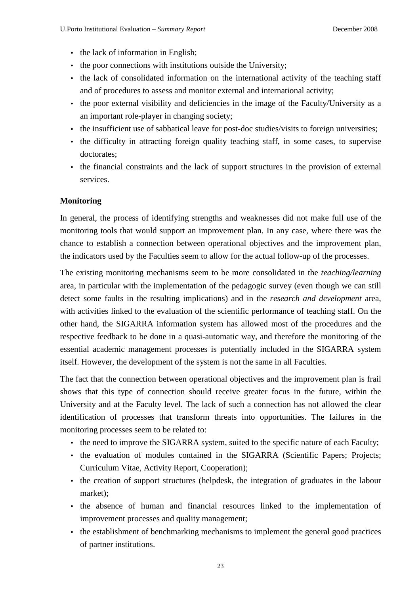- the lack of information in English;
- the poor connections with institutions outside the University;
- the lack of consolidated information on the international activity of the teaching staff and of procedures to assess and monitor external and international activity;
- the poor external visibility and deficiencies in the image of the Faculty/University as a an important role-player in changing society;
- the insufficient use of sabbatical leave for post-doc studies/visits to foreign universities;
- the difficulty in attracting foreign quality teaching staff, in some cases, to supervise doctorates;
- the financial constraints and the lack of support structures in the provision of external services.

# **Monitoring**

In general, the process of identifying strengths and weaknesses did not make full use of the monitoring tools that would support an improvement plan. In any case, where there was the chance to establish a connection between operational objectives and the improvement plan, the indicators used by the Faculties seem to allow for the actual follow-up of the processes.

The existing monitoring mechanisms seem to be more consolidated in the *teaching/learning*  area, in particular with the implementation of the pedagogic survey (even though we can still detect some faults in the resulting implications) and in the *research and development* area, with activities linked to the evaluation of the scientific performance of teaching staff. On the other hand, the SIGARRA information system has allowed most of the procedures and the respective feedback to be done in a quasi-automatic way, and therefore the monitoring of the essential academic management processes is potentially included in the SIGARRA system itself. However, the development of the system is not the same in all Faculties.

The fact that the connection between operational objectives and the improvement plan is frail shows that this type of connection should receive greater focus in the future, within the University and at the Faculty level. The lack of such a connection has not allowed the clear identification of processes that transform threats into opportunities. The failures in the monitoring processes seem to be related to:

- the need to improve the SIGARRA system, suited to the specific nature of each Faculty;
- the evaluation of modules contained in the SIGARRA (Scientific Papers; Projects; Curriculum Vitae, Activity Report, Cooperation);
- the creation of support structures (helpdesk, the integration of graduates in the labour market);
- the absence of human and financial resources linked to the implementation of improvement processes and quality management;
- the establishment of benchmarking mechanisms to implement the general good practices of partner institutions.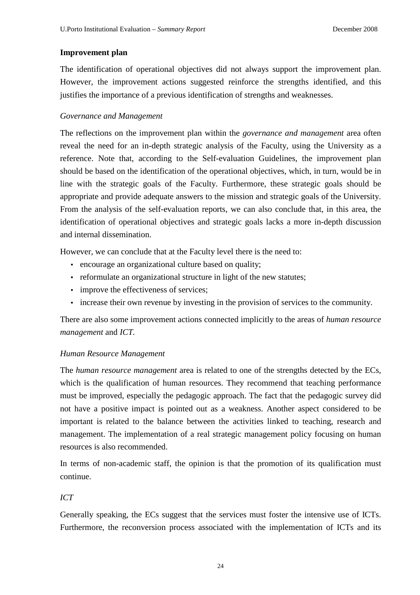### **Improvement plan**

The identification of operational objectives did not always support the improvement plan. However, the improvement actions suggested reinforce the strengths identified, and this justifies the importance of a previous identification of strengths and weaknesses.

#### *Governance and Management*

The reflections on the improvement plan within the *governance and management* area often reveal the need for an in-depth strategic analysis of the Faculty, using the University as a reference. Note that, according to the Self-evaluation Guidelines, the improvement plan should be based on the identification of the operational objectives, which, in turn, would be in line with the strategic goals of the Faculty. Furthermore, these strategic goals should be appropriate and provide adequate answers to the mission and strategic goals of the University. From the analysis of the self-evaluation reports, we can also conclude that, in this area, the identification of operational objectives and strategic goals lacks a more in-depth discussion and internal dissemination.

However, we can conclude that at the Faculty level there is the need to:

- encourage an organizational culture based on quality;
- reformulate an organizational structure in light of the new statutes;
- improve the effectiveness of services;
- increase their own revenue by investing in the provision of services to the community.

There are also some improvement actions connected implicitly to the areas of *human resource management* and *ICT.*

# *Human Resource Management*

The *human resource management* area is related to one of the strengths detected by the ECs, which is the qualification of human resources. They recommend that teaching performance must be improved, especially the pedagogic approach. The fact that the pedagogic survey did not have a positive impact is pointed out as a weakness. Another aspect considered to be important is related to the balance between the activities linked to teaching, research and management. The implementation of a real strategic management policy focusing on human resources is also recommended.

In terms of non-academic staff, the opinion is that the promotion of its qualification must continue.

# *ICT*

Generally speaking, the ECs suggest that the services must foster the intensive use of ICTs. Furthermore, the reconversion process associated with the implementation of ICTs and its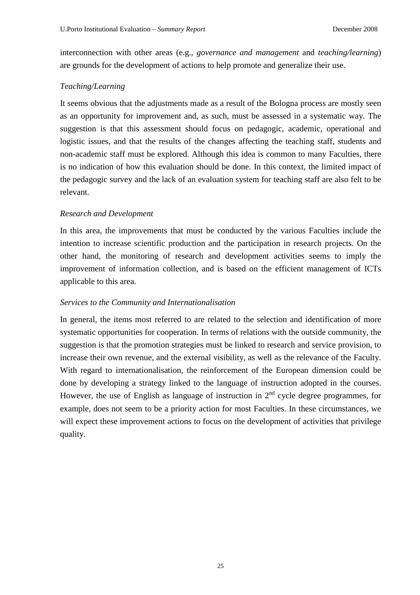interconnection with other areas (e.g., *governance and management* and *teaching/learning*) are grounds for the development of actions to help promote and generalize their use.

### *Teaching/Learning*

It seems obvious that the adjustments made as a result of the Bologna process are mostly seen as an opportunity for improvement and, as such, must be assessed in a systematic way. The suggestion is that this assessment should focus on pedagogic, academic, operational and logistic issues, and that the results of the changes affecting the teaching staff, students and non-academic staff must be explored. Although this idea is common to many Faculties, there is no indication of how this evaluation should be done. In this context, the limited impact of the pedagogic survey and the lack of an evaluation system for teaching staff are also felt to be relevant.

#### *Research and Development*

In this area, the improvements that must be conducted by the various Faculties include the intention to increase scientific production and the participation in research projects. On the other hand, the monitoring of research and development activities seems to imply the improvement of information collection, and is based on the efficient management of ICTs applicable to this area.

#### *Services to the Community and Internationalisation*

In general, the items most referred to are related to the selection and identification of more systematic opportunities for cooperation. In terms of relations with the outside community, the suggestion is that the promotion strategies must be linked to research and service provision, to increase their own revenue, and the external visibility, as well as the relevance of the Faculty. With regard to internationalisation, the reinforcement of the European dimension could be done by developing a strategy linked to the language of instruction adopted in the courses. However, the use of English as language of instruction in  $2<sup>nd</sup>$  cycle degree programmes, for example, does not seem to be a priority action for most Faculties. In these circumstances, we will expect these improvement actions to focus on the development of activities that privilege quality.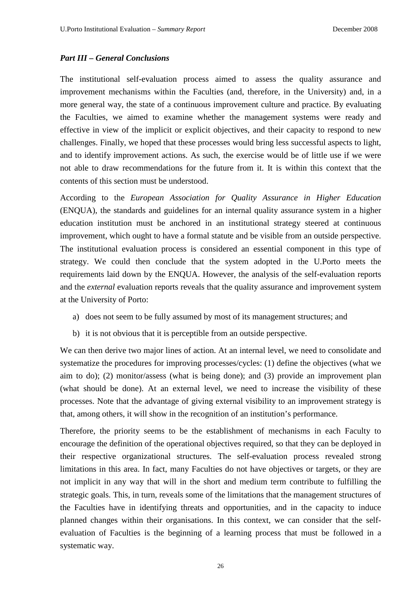# *Part III – General Conclusions*

The institutional self-evaluation process aimed to assess the quality assurance and improvement mechanisms within the Faculties (and, therefore, in the University) and, in a more general way, the state of a continuous improvement culture and practice. By evaluating the Faculties, we aimed to examine whether the management systems were ready and effective in view of the implicit or explicit objectives, and their capacity to respond to new challenges. Finally, we hoped that these processes would bring less successful aspects to light, and to identify improvement actions. As such, the exercise would be of little use if we were not able to draw recommendations for the future from it. It is within this context that the contents of this section must be understood.

According to the *European Association for Quality Assurance in Higher Education*  (ENQUA), the standards and guidelines for an internal quality assurance system in a higher education institution must be anchored in an institutional strategy steered at continuous improvement, which ought to have a formal statute and be visible from an outside perspective. The institutional evaluation process is considered an essential component in this type of strategy. We could then conclude that the system adopted in the U.Porto meets the requirements laid down by the ENQUA. However, the analysis of the self-evaluation reports and the *external* evaluation reports reveals that the quality assurance and improvement system at the University of Porto:

- a) does not seem to be fully assumed by most of its management structures; and
- b) it is not obvious that it is perceptible from an outside perspective.

We can then derive two major lines of action. At an internal level, we need to consolidate and systematize the procedures for improving processes/cycles: (1) define the objectives (what we aim to do); (2) monitor/assess (what is being done); and (3) provide an improvement plan (what should be done). At an external level, we need to increase the visibility of these processes. Note that the advantage of giving external visibility to an improvement strategy is that, among others, it will show in the recognition of an institution's performance.

Therefore, the priority seems to be the establishment of mechanisms in each Faculty to encourage the definition of the operational objectives required, so that they can be deployed in their respective organizational structures. The self-evaluation process revealed strong limitations in this area. In fact, many Faculties do not have objectives or targets, or they are not implicit in any way that will in the short and medium term contribute to fulfilling the strategic goals. This, in turn, reveals some of the limitations that the management structures of the Faculties have in identifying threats and opportunities, and in the capacity to induce planned changes within their organisations. In this context, we can consider that the selfevaluation of Faculties is the beginning of a learning process that must be followed in a systematic way.